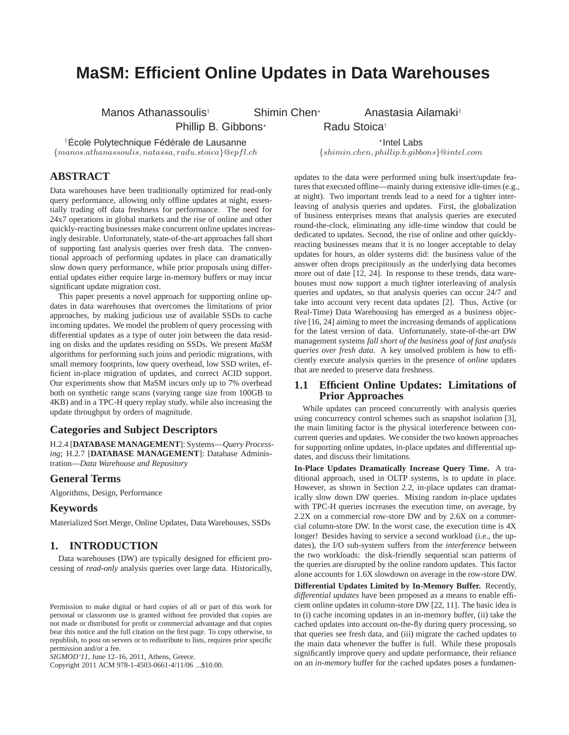# **MaSM: Efficient Online Updates in Data Warehouses**

Manos Athanassoulis<sup>†</sup> Shimin Chen<sup>∗</sup> Anastasia Ailamakit

Phillip B. Gibbons<sup>\*</sup> Radu Stoica<sup>†</sup>

<sup>†</sup>École Polytechnique Fédérale de Lausanne

\*Intel Labs  ${manos.} at has a solid and second. \textit{1} is, natas, radv.stoica \text{@e} of the form in. \textit{1} is, nplus, natus. \textit{1} is, natus. \textit{1} is, natus. \textit{1} is, natus. \textit{1} is, natus. \textit{1} is, natus. \textit{1} is, natus. \textit{1} is, natus. \textit{1} is, natus. \textit{1} is, natus. \textit{1} is, natus. \textit{1} is, natus. \textit{1} is, natus. \textit{1} is, natus. \textit{1} is, natus. \textit{1} is, natus. \$ 

# **ABSTRACT**

Data warehouses have been traditionally optimized for read-only query performance, allowing only offline updates at night, essentially trading off data freshness for performance. The need for 24x7 operations in global markets and the rise of online and other quickly-reacting businesses make concurrent online updates increasingly desirable. Unfortunately, state-of-the-art approaches fall short of supporting fast analysis queries over fresh data. The conventional approach of performing updates in place can dramatically slow down query performance, while prior proposals using differential updates either require large in-memory buffers or may incur significant update migration cost.

This paper presents a novel approach for supporting online updates in data warehouses that overcomes the limitations of prior approaches, by making judicious use of available SSDs to cache incoming updates. We model the problem of query processing with differential updates as a type of outer join between the data residing on disks and the updates residing on SSDs. We present *MaSM* algorithms for performing such joins and periodic migrations, with small memory footprints, low query overhead, low SSD writes, efficient in-place migration of updates, and correct ACID support. Our experiments show that MaSM incurs only up to 7% overhead both on synthetic range scans (varying range size from 100GB to 4KB) and in a TPC-H query replay study, while also increasing the update throughput by orders of magnitude.

### **Categories and Subject Descriptors**

H.2.4 [**DATABASE MANAGEMENT**]: Systems—*Query Processing*; H.2.7 [**DATABASE MANAGEMENT**]: Database Administration—*Data Warehouse and Repository*

### **General Terms**

Algorithms, Design, Performance

### **Keywords**

Materialized Sort Merge, Online Updates, Data Warehouses, SSDs

# **1. INTRODUCTION**

Data warehouses (DW) are typically designed for efficient processing of *read-only* analysis queries over large data. Historically,

Copyright 2011 ACM 978-1-4503-0661-4/11/06 ...\$10.00.

updates to the data were performed using bulk insert/update features that executed offline—mainly during extensive idle-times (e.g., at night). Two important trends lead to a need for a tighter interleaving of analysis queries and updates. First, the globalization of business enterprises means that analysis queries are executed round-the-clock, eliminating any idle-time window that could be dedicated to updates. Second, the rise of online and other quicklyreacting businesses means that it is no longer acceptable to delay updates for hours, as older systems did: the business value of the answer often drops precipitously as the underlying data becomes more out of date [12, 24]. In response to these trends, data warehouses must now support a much tighter interleaving of analysis queries and updates, so that analysis queries can occur 24/7 and take into account very recent data updates [2]. Thus, Active (or Real-Time) Data Warehousing has emerged as a business objective [16, 24] aiming to meet the increasing demands of applications for the latest version of data. Unfortunately, state-of-the-art DW management systems *fall short of the business goal of fast analysis queries over fresh data*. A key unsolved problem is how to efficiently execute analysis queries in the presence of *online* updates that are needed to preserve data freshness.

### **1.1 Efficient Online Updates: Limitations of Prior Approaches**

While updates can proceed concurrently with analysis queries using concurrency control schemes such as snapshot isolation [3], the main limiting factor is the physical interference between concurrent queries and updates. We consider the two known approaches for supporting online updates, in-place updates and differential updates, and discuss their limitations.

**In-Place Updates Dramatically Increase Query Time.** A traditional approach, used in OLTP systems, is to update in place. However, as shown in Section 2.2, in-place updates can dramatically slow down DW queries. Mixing random in-place updates with TPC-H queries increases the execution time, on average, by 2.2X on a commercial row-store DW and by 2.6X on a commercial column-store DW. In the worst case, the execution time is 4X longer! Besides having to service a second workload (i.e., the updates), the I/O sub-system suffers from the *interference* between the two workloads: the disk-friendly sequential scan patterns of the queries are disrupted by the online random updates. This factor alone accounts for 1.6X slowdown on average in the row-store DW.

**Differential Updates Limited by In-Memory Buffer.** Recently, *differential updates* have been proposed as a means to enable efficient online updates in column-store DW [22, 11]. The basic idea is to (i) cache incoming updates in an in-memory buffer, (ii) take the cached updates into account on-the-fly during query processing, so that queries see fresh data, and (iii) migrate the cached updates to the main data whenever the buffer is full. While these proposals significantly improve query and update performance, their reliance on an *in-memory* buffer for the cached updates poses a fundamen-

Permission to make digital or hard copies of all or part of this work for personal or classroom use is granted without fee provided that copies are not made or distributed for profit or commercial advantage and that copies bear this notice and the full citation on the first page. To copy otherwise, to republish, to post on servers or to redistribute to lists, requires prior specific permission and/or a fee.

*SIGMOD'11,* June 12–16, 2011, Athens, Greece.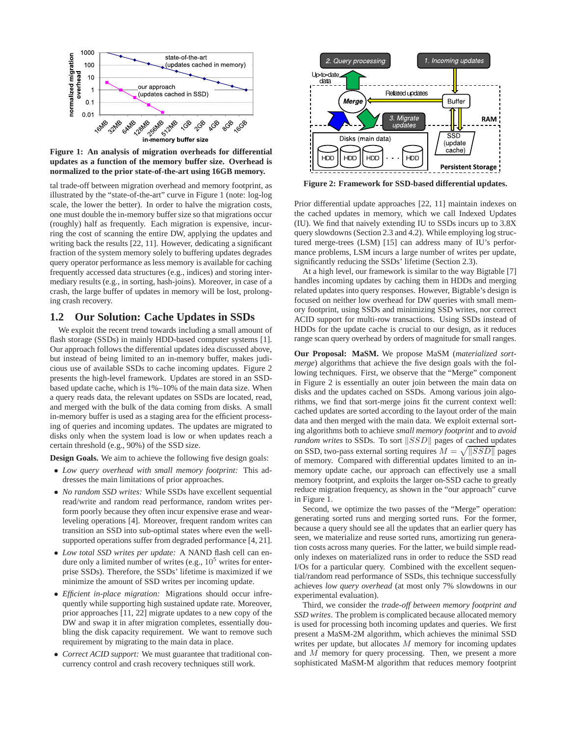

**Figure 1: An analysis of migration overheads for differential updates as a function of the memory buffer size. Overhead is normalized to the prior state-of-the-art using 16GB memory.**

tal trade-off between migration overhead and memory footprint, as illustrated by the "state-of-the-art" curve in Figure 1 (note: log-log scale, the lower the better). In order to halve the migration costs, one must double the in-memory buffer size so that migrations occur (roughly) half as frequently. Each migration is expensive, incurring the cost of scanning the entire DW, applying the updates and writing back the results [22, 11]. However, dedicating a significant fraction of the system memory solely to buffering updates degrades query operator performance as less memory is available for caching frequently accessed data structures (e.g., indices) and storing intermediary results (e.g., in sorting, hash-joins). Moreover, in case of a crash, the large buffer of updates in memory will be lost, prolonging crash recovery.

# **1.2 Our Solution: Cache Updates in SSDs**

We exploit the recent trend towards including a small amount of flash storage (SSDs) in mainly HDD-based computer systems [1]. Our approach follows the differential updates idea discussed above, but instead of being limited to an in-memory buffer, makes judicious use of available SSDs to cache incoming updates. Figure 2 presents the high-level framework. Updates are stored in an SSDbased update cache, which is 1%–10% of the main data size. When a query reads data, the relevant updates on SSDs are located, read, and merged with the bulk of the data coming from disks. A small in-memory buffer is used as a staging area for the efficient processing of queries and incoming updates. The updates are migrated to disks only when the system load is low or when updates reach a certain threshold (e.g., 90%) of the SSD size.

**Design Goals.** We aim to achieve the following five design goals:

- *Low query overhead with small memory footprint:* This addresses the main limitations of prior approaches.
- *No random SSD writes:* While SSDs have excellent sequential read/write and random read performance, random writes perform poorly because they often incur expensive erase and wearleveling operations [4]. Moreover, frequent random writes can transition an SSD into sub-optimal states where even the wellsupported operations suffer from degraded performance [4, 21].
- *Low total SSD writes per update:* A NAND flash cell can endure only a limited number of writes (e.g.,  $10^5$  writes for enterprise SSDs). Therefore, the SSDs' lifetime is maximized if we minimize the amount of SSD writes per incoming update.
- *Efficient in-place migration:* Migrations should occur infrequently while supporting high sustained update rate. Moreover, prior approaches [11, 22] migrate updates to a new copy of the DW and swap it in after migration completes, essentially doubling the disk capacity requirement. We want to remove such requirement by migrating to the main data in place.
- *Correct ACID support:* We must guarantee that traditional concurrency control and crash recovery techniques still work.



**Figure 2: Framework for SSD-based differential updates.**

Prior differential update approaches [22, 11] maintain indexes on the cached updates in memory, which we call Indexed Updates (IU). We find that naively extending IU to SSDs incurs up to 3.8X query slowdowns (Section 2.3 and 4.2). While employing log structured merge-trees (LSM) [15] can address many of IU's performance problems, LSM incurs a large number of writes per update, significantly reducing the SSDs' lifetime (Section 2.3).

At a high level, our framework is similar to the way Bigtable [7] handles incoming updates by caching them in HDDs and merging related updates into query responses. However, Bigtable's design is focused on neither low overhead for DW queries with small memory footprint, using SSDs and minimizing SSD writes, nor correct ACID support for multi-row transactions. Using SSDs instead of HDDs for the update cache is crucial to our design, as it reduces range scan query overhead by orders of magnitude for small ranges.

**Our Proposal: MaSM.** We propose MaSM (*materialized sortmerge*) algorithms that achieve the five design goals with the following techniques. First, we observe that the "Merge" component in Figure 2 is essentially an outer join between the main data on disks and the updates cached on SSDs. Among various join algorithms, we find that sort-merge joins fit the current context well: cached updates are sorted according to the layout order of the main data and then merged with the main data. We exploit external sorting algorithms both to achieve *small memory footprint* and to *avoid random writes* to SSDs. To sort  $||SSD||$  pages of cached updates on SSD, two-pass external sorting requires  $M = \sqrt{|\text{SSD}|}$  pages of memory. Compared with differential updates limited to an inmemory update cache, our approach can effectively use a small memory footprint, and exploits the larger on-SSD cache to greatly reduce migration frequency, as shown in the "our approach" curve in Figure 1.

Second, we optimize the two passes of the "Merge" operation: generating sorted runs and merging sorted runs. For the former, because a query should see all the updates that an earlier query has seen, we materialize and reuse sorted runs, amortizing run generation costs across many queries. For the latter, we build simple readonly indexes on materialized runs in order to reduce the SSD read I/Os for a particular query. Combined with the excellent sequential/random read performance of SSDs, this technique successfully achieves *low query overhead* (at most only 7% slowdowns in our experimental evaluation).

Third, we consider the *trade-off between memory footprint and SSD writes*. The problem is complicated because allocated memory is used for processing both incoming updates and queries. We first present a MaSM-2M algorithm, which achieves the minimal SSD writes per update, but allocates M memory for incoming updates and M memory for query processing. Then, we present a more sophisticated MaSM-M algorithm that reduces memory footprint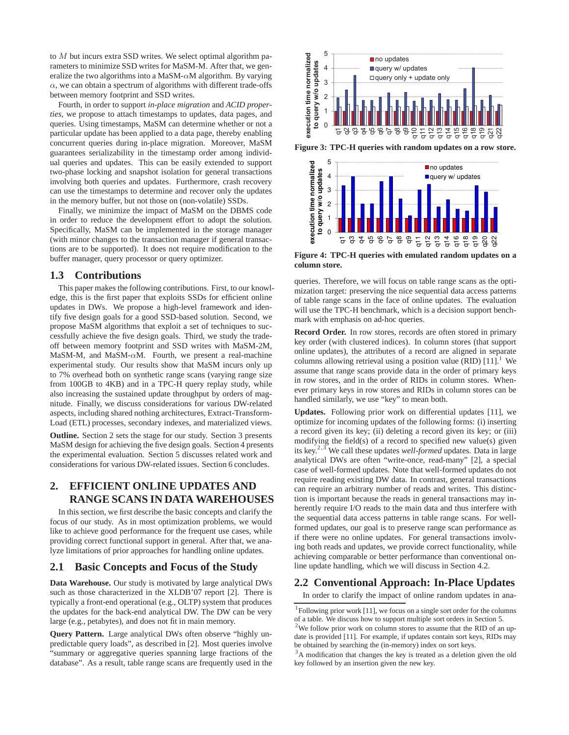to M but incurs extra SSD writes. We select optimal algorithm parameters to minimize SSD writes for MaSM-M. After that, we generalize the two algorithms into a MaSM- $\alpha$ M algorithm. By varying  $\alpha$ , we can obtain a spectrum of algorithms with different trade-offs between memory footprint and SSD writes.

Fourth, in order to support *in-place migration* and *ACID properties*, we propose to attach timestamps to updates, data pages, and queries. Using timestamps, MaSM can determine whether or not a particular update has been applied to a data page, thereby enabling concurrent queries during in-place migration. Moreover, MaSM guarantees serializability in the timestamp order among individual queries and updates. This can be easily extended to support two-phase locking and snapshot isolation for general transactions involving both queries and updates. Furthermore, crash recovery can use the timestamps to determine and recover only the updates in the memory buffer, but not those on (non-volatile) SSDs.

Finally, we minimize the impact of MaSM on the DBMS code in order to reduce the development effort to adopt the solution. Specifically, MaSM can be implemented in the storage manager (with minor changes to the transaction manager if general transactions are to be supported). It does not require modification to the buffer manager, query processor or query optimizer.

### **1.3 Contributions**

This paper makes the following contributions. First, to our knowledge, this is the first paper that exploits SSDs for efficient online updates in DWs. We propose a high-level framework and identify five design goals for a good SSD-based solution. Second, we propose MaSM algorithms that exploit a set of techniques to successfully achieve the five design goals. Third, we study the tradeoff between memory footprint and SSD writes with MaSM-2M, MaSM-M, and MaSM- $\alpha$ M. Fourth, we present a real-machine experimental study. Our results show that MaSM incurs only up to 7% overhead both on synthetic range scans (varying range size from 100GB to 4KB) and in a TPC-H query replay study, while also increasing the sustained update throughput by orders of magnitude. Finally, we discuss considerations for various DW-related aspects, including shared nothing architectures, Extract-Transform-Load (ETL) processes, secondary indexes, and materialized views.

**Outline.** Section 2 sets the stage for our study. Section 3 presents MaSM design for achieving the five design goals. Section 4 presents the experimental evaluation. Section 5 discusses related work and considerations for various DW-related issues. Section 6 concludes.

# **2. EFFICIENT ONLINE UPDATES AND RANGE SCANS IN DATA WAREHOUSES**

In this section, we first describe the basic concepts and clarify the focus of our study. As in most optimization problems, we would like to achieve good performance for the frequent use cases, while providing correct functional support in general. After that, we analyze limitations of prior approaches for handling online updates.

### **2.1 Basic Concepts and Focus of the Study**

**Data Warehouse.** Our study is motivated by large analytical DWs such as those characterized in the XLDB'07 report [2]. There is typically a front-end operational (e.g., OLTP) system that produces the updates for the back-end analytical DW. The DW can be very large (e.g., petabytes), and does not fit in main memory.

**Query Pattern.** Large analytical DWs often observe "highly unpredictable query loads", as described in [2]. Most queries involve "summary or aggregative queries spanning large fractions of the database". As a result, table range scans are frequently used in the



**Figure 3: TPC-H queries with random updates on a row store.**



**Figure 4: TPC-H queries with emulated random updates on a column store.**

queries. Therefore, we will focus on table range scans as the optimization target: preserving the nice sequential data access patterns of table range scans in the face of online updates. The evaluation will use the TPC-H benchmark, which is a decision support benchmark with emphasis on ad-hoc queries.

**Record Order.** In row stores, records are often stored in primary key order (with clustered indices). In column stores (that support online updates), the attributes of a record are aligned in separate columns allowing retrieval using a position value (RID)  $[11]$ .<sup>1</sup> We assume that range scans provide data in the order of primary keys in row stores, and in the order of RIDs in column stores. Whenever primary keys in row stores and RIDs in column stores can be handled similarly, we use "key" to mean both.

**Updates.** Following prior work on differential updates [11], we optimize for incoming updates of the following forms: (i) inserting a record given its key; (ii) deleting a record given its key; or (iii) modifying the field(s) of a record to specified new value(s) given its key.<sup>2</sup>,<sup>3</sup> We call these updates *well-formed* updates. Data in large analytical DWs are often "write-once, read-many" [2], a special case of well-formed updates. Note that well-formed updates do not require reading existing DW data. In contrast, general transactions can require an arbitrary number of reads and writes. This distinction is important because the reads in general transactions may inherently require I/O reads to the main data and thus interfere with the sequential data access patterns in table range scans. For wellformed updates, our goal is to preserve range scan performance as if there were no online updates. For general transactions involving both reads and updates, we provide correct functionality, while achieving comparable or better performance than conventional online update handling, which we will discuss in Section 4.2.

### **2.2 Conventional Approach: In-Place Updates**

In order to clarify the impact of online random updates in ana-

 $1$ Following prior work [11], we focus on a single sort order for the columns of a table. We discuss how to support multiple sort orders in Section 5.

<sup>&</sup>lt;sup>2</sup>We follow prior work on column stores to assume that the RID of an update is provided [11]. For example, if updates contain sort keys, RIDs may be obtained by searching the (in-memory) index on sort keys.

<sup>&</sup>lt;sup>3</sup>A modification that changes the key is treated as a deletion given the old key followed by an insertion given the new key.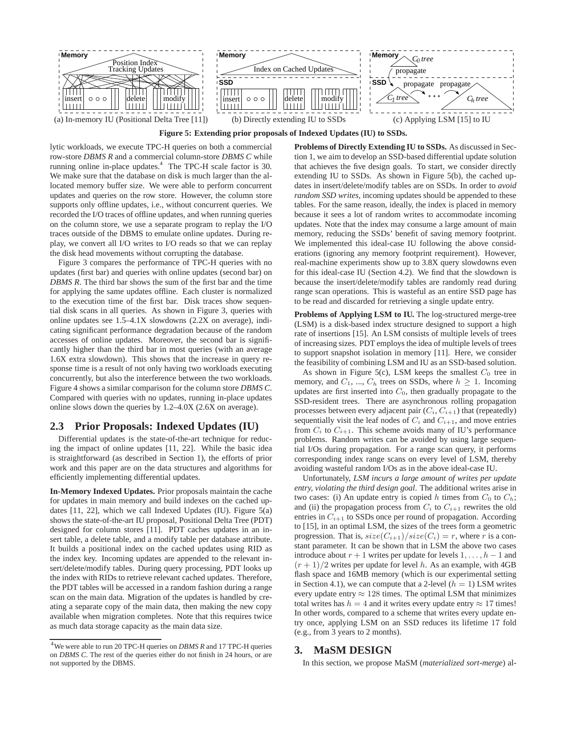

**Figure 5: Extending prior proposals of Indexed Updates (IU) to SSDs.**

lytic workloads, we execute TPC-H queries on both a commercial row-store *DBMS R* and a commercial column-store *DBMS C* while running online in-place updates.<sup>4</sup> The TPC-H scale factor is 30. We make sure that the database on disk is much larger than the allocated memory buffer size. We were able to perform concurrent updates and queries on the row store. However, the column store supports only offline updates, i.e., without concurrent queries. We recorded the I/O traces of offline updates, and when running queries on the column store, we use a separate program to replay the I/O traces outside of the DBMS to emulate online updates. During replay, we convert all I/O writes to I/O reads so that we can replay the disk head movements without corrupting the database.

Figure 3 compares the performance of TPC-H queries with no updates (first bar) and queries with online updates (second bar) on *DBMS R*. The third bar shows the sum of the first bar and the time for applying the same updates offline. Each cluster is normalized to the execution time of the first bar. Disk traces show sequential disk scans in all queries. As shown in Figure 3, queries with online updates see 1.5–4.1X slowdowns (2.2X on average), indicating significant performance degradation because of the random accesses of online updates. Moreover, the second bar is significantly higher than the third bar in most queries (with an average 1.6X extra slowdown). This shows that the increase in query response time is a result of not only having two workloads executing concurrently, but also the interference between the two workloads. Figure 4 shows a similar comparison for the column store *DBMS C*. Compared with queries with no updates, running in-place updates online slows down the queries by 1.2–4.0X (2.6X on average).

### **2.3 Prior Proposals: Indexed Updates (IU)**

Differential updates is the state-of-the-art technique for reducing the impact of online updates [11, 22]. While the basic idea is straightforward (as described in Section 1), the efforts of prior work and this paper are on the data structures and algorithms for efficiently implementing differential updates.

**In-Memory Indexed Updates.** Prior proposals maintain the cache for updates in main memory and build indexes on the cached updates [11, 22], which we call Indexed Updates (IU). Figure 5(a) shows the state-of-the-art IU proposal, Positional Delta Tree (PDT) designed for column stores [11]. PDT caches updates in an insert table, a delete table, and a modify table per database attribute. It builds a positional index on the cached updates using RID as the index key. Incoming updates are appended to the relevant insert/delete/modify tables. During query processing, PDT looks up the index with RIDs to retrieve relevant cached updates. Therefore, the PDT tables will be accessed in a random fashion during a range scan on the main data. Migration of the updates is handled by creating a separate copy of the main data, then making the new copy available when migration completes. Note that this requires twice as much data storage capacity as the main data size.

**Problems of Directly Extending IU to SSDs.** As discussed in Section 1, we aim to develop an SSD-based differential update solution that achieves the five design goals. To start, we consider directly extending IU to SSDs. As shown in Figure 5(b), the cached updates in insert/delete/modify tables are on SSDs. In order to *avoid random SSD writes*, incoming updates should be appended to these tables. For the same reason, ideally, the index is placed in memory because it sees a lot of random writes to accommodate incoming updates. Note that the index may consume a large amount of main memory, reducing the SSDs' benefit of saving memory footprint. We implemented this ideal-case IU following the above considerations (ignoring any memory footprint requirement). However, real-machine experiments show up to 3.8X query slowdowns even for this ideal-case IU (Section 4.2). We find that the slowdown is because the insert/delete/modify tables are randomly read during range scan operations. This is wasteful as an entire SSD page has to be read and discarded for retrieving a single update entry.

**Problems of Applying LSM to IU.** The log-structured merge-tree (LSM) is a disk-based index structure designed to support a high rate of insertions [15]. An LSM consists of multiple levels of trees of increasing sizes. PDT employs the idea of multiple levels of trees to support snapshot isolation in memory [11]. Here, we consider the feasibility of combining LSM and IU as an SSD-based solution.

As shown in Figure 5(c), LSM keeps the smallest  $C_0$  tree in memory, and  $C_1$ , ...,  $C_h$  trees on SSDs, where  $h \geq 1$ . Incoming updates are first inserted into  $C_0$ , then gradually propagate to the SSD-resident trees. There are asynchronous rolling propagation processes between every adjacent pair  $(C_i, C_{i+1})$  that (repeatedly) sequentially visit the leaf nodes of  $C_i$  and  $C_{i+1}$ , and move entries from  $C_i$  to  $C_{i+1}$ . This scheme avoids many of IU's performance problems. Random writes can be avoided by using large sequential I/Os during propagation. For a range scan query, it performs corresponding index range scans on every level of LSM, thereby avoiding wasteful random I/Os as in the above ideal-case IU.

Unfortunately, *LSM incurs a large amount of writes per update entry, violating the third design goal*. The additional writes arise in two cases: (i) An update entry is copied h times from  $C_0$  to  $C_h$ ; and (ii) the propagation process from  $C_i$  to  $C_{i+1}$  rewrites the old entries in  $C_{i+1}$  to SSDs once per round of propagation. According to [15], in an optimal LSM, the sizes of the trees form a geometric progression. That is,  $size(C_{i+1})/size(C_i) = r$ , where r is a constant parameter. It can be shown that in LSM the above two cases introduce about  $r + 1$  writes per update for levels  $1, \ldots, h - 1$  and  $(r + 1)/2$  writes per update for level h. As an example, with 4GB flash space and 16MB memory (which is our experimental setting in Section 4.1), we can compute that a 2-level  $(h = 1)$  LSM writes every update entry  $\approx 128$  times. The optimal LSM that minimizes total writes has  $h = 4$  and it writes every update entry  $\approx 17$  times! In other words, compared to a scheme that writes every update entry once, applying LSM on an SSD reduces its lifetime 17 fold (e.g., from 3 years to 2 months).

### **3. MaSM DESIGN**

In this section, we propose MaSM (*materialized sort-merge*) al-

<sup>4</sup>We were able to run 20 TPC-H queries on *DBMS R* and 17 TPC-H queries on *DBMS C*. The rest of the queries either do not finish in 24 hours, or are not supported by the DBMS.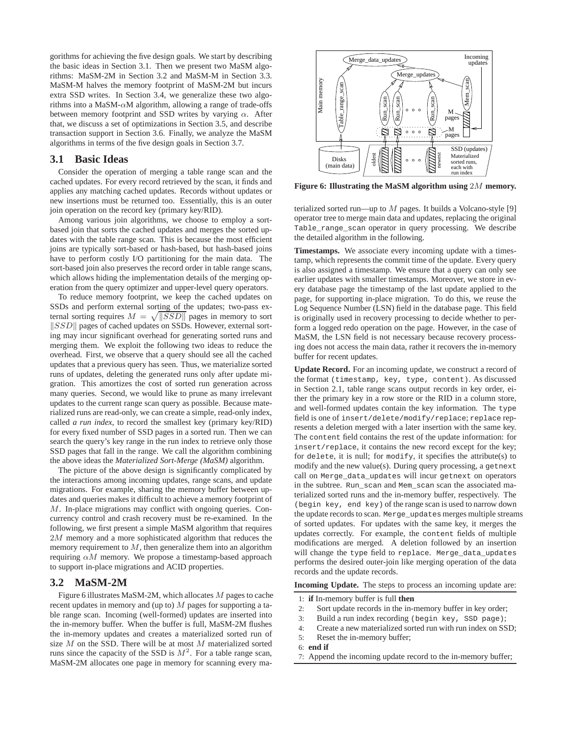gorithms for achieving the five design goals. We start by describing the basic ideas in Section 3.1. Then we present two MaSM algorithms: MaSM-2M in Section 3.2 and MaSM-M in Section 3.3. MaSM-M halves the memory footprint of MaSM-2M but incurs extra SSD writes. In Section 3.4, we generalize these two algorithms into a MaSM- $\alpha$ M algorithm, allowing a range of trade-offs between memory footprint and SSD writes by varying  $\alpha$ . After that, we discuss a set of optimizations in Section 3.5, and describe transaction support in Section 3.6. Finally, we analyze the MaSM algorithms in terms of the five design goals in Section 3.7.

### **3.1 Basic Ideas**

Consider the operation of merging a table range scan and the cached updates. For every record retrieved by the scan, it finds and applies any matching cached updates. Records without updates or new insertions must be returned too. Essentially, this is an outer join operation on the record key (primary key/RID).

Among various join algorithms, we choose to employ a sortbased join that sorts the cached updates and merges the sorted updates with the table range scan. This is because the most efficient joins are typically sort-based or hash-based, but hash-based joins have to perform costly I/O partitioning for the main data. The sort-based join also preserves the record order in table range scans, which allows hiding the implementation details of the merging operation from the query optimizer and upper-level query operators.

To reduce memory footprint, we keep the cached updates on SSDs and perform external sorting of the updates; two-pass external sorting requires  $M = \sqrt{|\text{SSD}|}$  pages in memory to sort  $||SSD||$  pages of cached updates on SSDs. However, external sorting may incur significant overhead for generating sorted runs and merging them. We exploit the following two ideas to reduce the overhead. First, we observe that a query should see all the cached updates that a previous query has seen. Thus, we materialize sorted runs of updates, deleting the generated runs only after update migration. This amortizes the cost of sorted run generation across many queries. Second, we would like to prune as many irrelevant updates to the current range scan query as possible. Because materialized runs are read-only, we can create a simple, read-only index, called *a run index*, to record the smallest key (primary key/RID) for every fixed number of SSD pages in a sorted run. Then we can search the query's key range in the run index to retrieve only those SSD pages that fall in the range. We call the algorithm combining the above ideas the *Materialized Sort-Merge (MaSM)* algorithm.

The picture of the above design is significantly complicated by the interactions among incoming updates, range scans, and update migrations. For example, sharing the memory buffer between updates and queries makes it difficult to achieve a memory footprint of M. In-place migrations may conflict with ongoing queries. Concurrency control and crash recovery must be re-examined. In the following, we first present a simple MaSM algorithm that requires 2M memory and a more sophisticated algorithm that reduces the memory requirement to  $M$ , then generalize them into an algorithm requiring  $\alpha M$  memory. We propose a timestamp-based approach to support in-place migrations and ACID properties.

### **3.2 MaSM-2M**

Figure 6 illustrates MaSM-2M, which allocates M pages to cache recent updates in memory and (up to)  $M$  pages for supporting a table range scan. Incoming (well-formed) updates are inserted into the in-memory buffer. When the buffer is full, MaSM-2M flushes the in-memory updates and creates a materialized sorted run of size  $M$  on the SSD. There will be at most  $M$  materialized sorted runs since the capacity of the SSD is  $M^2$ . For a table range scan, MaSM-2M allocates one page in memory for scanning every ma-



**Figure 6: Illustrating the MaSM algorithm using** 2M **memory.**

terialized sorted run—up to  $M$  pages. It builds a Volcano-style [9] operator tree to merge main data and updates, replacing the original Table range scan operator in query processing. We describe the detailed algorithm in the following.

**Timestamps.** We associate every incoming update with a timestamp, which represents the commit time of the update. Every query is also assigned a timestamp. We ensure that a query can only see earlier updates with smaller timestamps. Moreover, we store in every database page the timestamp of the last update applied to the page, for supporting in-place migration. To do this, we reuse the Log Sequence Number (LSN) field in the database page. This field is originally used in recovery processing to decide whether to perform a logged redo operation on the page. However, in the case of MaSM, the LSN field is not necessary because recovery processing does not access the main data, rather it recovers the in-memory buffer for recent updates.

**Update Record.** For an incoming update, we construct a record of the format (timestamp, key, type, content). As discussed in Section 2.1, table range scans output records in key order, either the primary key in a row store or the RID in a column store, and well-formed updates contain the key information. The type field is one of insert/delete/modify/replace; replace represents a deletion merged with a later insertion with the same key. The content field contains the rest of the update information: for insert/replace, it contains the new record except for the key; for delete, it is null; for modify, it specifies the attribute(s) to modify and the new value(s). During query processing, a getnext call on Merge\_data\_updates will incur getnext on operators in the subtree. Run\_scan and Mem\_scan scan the associated materialized sorted runs and the in-memory buffer, respectively. The (begin key, end key) of the range scan is used to narrow down the update records to scan. Merge\_updates merges multiple streams of sorted updates. For updates with the same key, it merges the updates correctly. For example, the content fields of multiple modifications are merged. A deletion followed by an insertion will change the type field to replace. Merge\_data\_updates performs the desired outer-join like merging operation of the data records and the update records.

**Incoming Update.** The steps to process an incoming update are:

- 1: **if** In-memory buffer is full **then**
- 2: Sort update records in the in-memory buffer in key order;
- 3: Build a run index recording (begin key, SSD page);
- 4: Create a new materialized sorted run with run index on SSD;
- 5: Reset the in-memory buffer;
- 6: **end if**
- 7: Append the incoming update record to the in-memory buffer;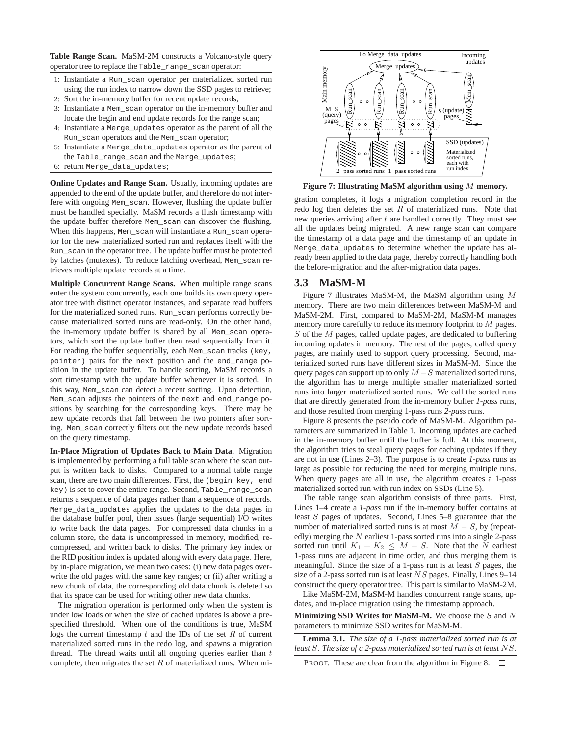**Table Range Scan.** MaSM-2M constructs a Volcano-style query operator tree to replace the Table\_range\_scan operator:

- 1: Instantiate a Run\_scan operator per materialized sorted run using the run index to narrow down the SSD pages to retrieve;
- 2: Sort the in-memory buffer for recent update records;
- 3: Instantiate a Mem\_scan operator on the in-memory buffer and locate the begin and end update records for the range scan;
- 4: Instantiate a Merge\_updates operator as the parent of all the Run scan operators and the Mem scan operator;
- 5: Instantiate a Merge\_data\_updates operator as the parent of the Table\_range\_scan and the Merge\_updates;
- 6: return Merge\_data\_updates;

**Online Updates and Range Scan.** Usually, incoming updates are appended to the end of the update buffer, and therefore do not interfere with ongoing Mem\_scan. However, flushing the update buffer must be handled specially. MaSM records a flush timestamp with the update buffer therefore Mem\_scan can discover the flushing. When this happens, Mem\_scan will instantiate a Run\_scan operator for the new materialized sorted run and replaces itself with the Run\_scan in the operator tree. The update buffer must be protected by latches (mutexes). To reduce latching overhead, Mem\_scan retrieves multiple update records at a time.

**Multiple Concurrent Range Scans.** When multiple range scans enter the system concurrently, each one builds its own query operator tree with distinct operator instances, and separate read buffers for the materialized sorted runs. Run\_scan performs correctly because materialized sorted runs are read-only. On the other hand, the in-memory update buffer is shared by all Mem\_scan operators, which sort the update buffer then read sequentially from it. For reading the buffer sequentially, each Mem\_scan tracks (key, pointer) pairs for the next position and the end\_range position in the update buffer. To handle sorting, MaSM records a sort timestamp with the update buffer whenever it is sorted. In this way, Mem\_scan can detect a recent sorting. Upon detection, Mem\_scan adjusts the pointers of the next and end\_range positions by searching for the corresponding keys. There may be new update records that fall between the two pointers after sorting. Mem\_scan correctly filters out the new update records based on the query timestamp.

**In-Place Migration of Updates Back to Main Data.** Migration is implemented by performing a full table scan where the scan output is written back to disks. Compared to a normal table range scan, there are two main differences. First, the (begin key, end key) is set to cover the entire range. Second, Table\_range\_scan returns a sequence of data pages rather than a sequence of records. Merge\_data\_updates applies the updates to the data pages in the database buffer pool, then issues (large sequential) I/O writes to write back the data pages. For compressed data chunks in a column store, the data is uncompressed in memory, modified, recompressed, and written back to disks. The primary key index or the RID position index is updated along with every data page. Here, by in-place migration, we mean two cases: (i) new data pages overwrite the old pages with the same key ranges; or (ii) after writing a new chunk of data, the corresponding old data chunk is deleted so that its space can be used for writing other new data chunks.

The migration operation is performed only when the system is under low loads or when the size of cached updates is above a prespecified threshold. When one of the conditions is true, MaSM logs the current timestamp  $t$  and the IDs of the set  $R$  of current materialized sorted runs in the redo log, and spawns a migration thread. The thread waits until all ongoing queries earlier than  $t$ complete, then migrates the set  $R$  of materialized runs. When mi-



**Figure 7: Illustrating MaSM algorithm using** M **memory.**

gration completes, it logs a migration completion record in the redo log then deletes the set  $R$  of materialized runs. Note that new queries arriving after  $t$  are handled correctly. They must see all the updates being migrated. A new range scan can compare the timestamp of a data page and the timestamp of an update in Merge\_data\_updates to determine whether the update has already been applied to the data page, thereby correctly handling both the before-migration and the after-migration data pages.

### **3.3 MaSM-M**

Figure 7 illustrates MaSM-M, the MaSM algorithm using M memory. There are two main differences between MaSM-M and MaSM-2M. First, compared to MaSM-2M, MaSM-M manages memory more carefully to reduce its memory footprint to M pages.  $S$  of the  $M$  pages, called update pages, are dedicated to buffering incoming updates in memory. The rest of the pages, called query pages, are mainly used to support query processing. Second, materialized sorted runs have different sizes in MaSM-M. Since the query pages can support up to only  $M-S$  materialized sorted runs, the algorithm has to merge multiple smaller materialized sorted runs into larger materialized sorted runs. We call the sorted runs that are directly generated from the in-memory buffer *1-pass* runs, and those resulted from merging 1-pass runs *2-pass* runs.

Figure 8 presents the pseudo code of MaSM-M. Algorithm parameters are summarized in Table 1. Incoming updates are cached in the in-memory buffer until the buffer is full. At this moment, the algorithm tries to steal query pages for caching updates if they are not in use (Lines 2–3). The purpose is to create *1-pass* runs as large as possible for reducing the need for merging multiple runs. When query pages are all in use, the algorithm creates a 1-pass materialized sorted run with run index on SSDs (Line 5).

The table range scan algorithm consists of three parts. First, Lines 1–4 create a *1-pass* run if the in-memory buffer contains at least S pages of updates. Second, Lines 5–8 guarantee that the number of materialized sorted runs is at most  $M - S$ , by (repeatedly) merging the  $N$  earliest 1-pass sorted runs into a single 2-pass sorted run until  $K_1 + K_2 \leq M - S$ . Note that the N earliest 1-pass runs are adjacent in time order, and thus merging them is meaningful. Since the size of a 1-pass run is at least  $S$  pages, the size of a 2-pass sorted run is at least NS pages. Finally, Lines 9–14 construct the query operator tree. This part is similar to MaSM-2M.

Like MaSM-2M, MaSM-M handles concurrent range scans, updates, and in-place migration using the timestamp approach.

**Minimizing SSD Writes for MaSM-M.** We choose the S and N parameters to minimize SSD writes for MaSM-M.

**Lemma 3.1.** *The size of a 1-pass materialized sorted run is at least* S*. The size of a 2-pass materialized sorted run is at least* NS*.*

PROOF. These are clear from the algorithm in Figure 8.  $\Box$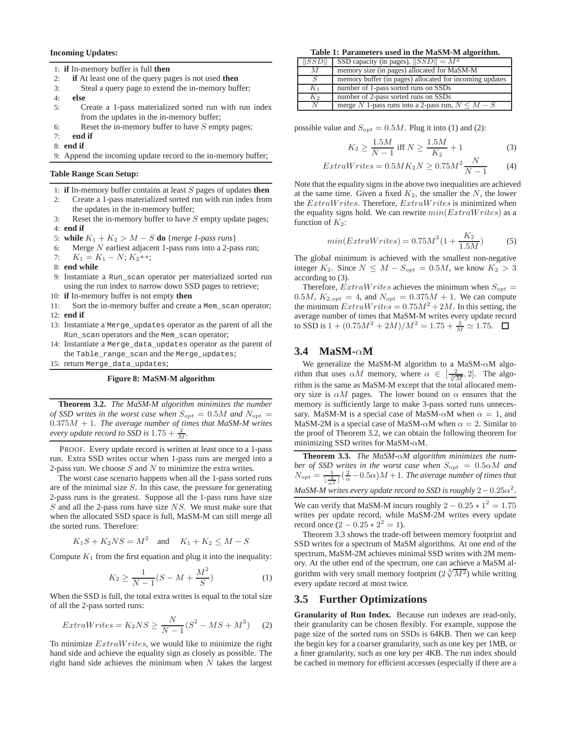#### **Incoming Updates:**

1: **if** In-memory buffer is full **then**

- 2: **if** At least one of the query pages is not used **then**
- 3: Steal a query page to extend the in-memory buffer;
- 4: **else**
- 5: Create a 1-pass materialized sorted run with run index from the updates in the in-memory buffer;
- 6: Reset the in-memory buffer to have  $S$  empty pages;
- 7: **end if**
- 8: **end if**

9: Append the incoming update record to the in-memory buffer;

### **Table Range Scan Setup:**

- 1: **if** In-memory buffer contains at least S pages of updates **then**
- 2: Create a 1-pass materialized sorted run with run index from the updates in the in-memory buffer;
- 3: Reset the in-memory buffer to have  $S$  empty update pages; 4: **end if**
- 5: **while**  $K_1 + K_2 > M S$  **do** {*merge 1-pass runs*}<br>6: Merge N earliest adiacent 1-pass runs into a 2-pa
- Merge  $N$  earliest adjacent 1-pass runs into a 2-pass run;
- 7:  $K_1 = K_1 N$ ;  $K_2$ ++;
- 8: **end while**
- 9: Instantiate a Run\_scan operator per materialized sorted run using the run index to narrow down SSD pages to retrieve;
- 10: **if** In-memory buffer is not empty **then**
- 11: Sort the in-memory buffer and create a Mem\_scan operator;
- 12: **end if**
- 13: Instantiate a Merge\_updates operator as the parent of all the Run\_scan operators and the Mem\_scan operator;
- 14: Instantiate a Merge\_data\_updates operator as the parent of the Table\_range\_scan and the Merge\_updates;
- 15: return Merge\_data\_updates;

#### **Figure 8: MaSM-M algorithm**

**Theorem 3.2.** *The MaSM-M algorithm minimizes the number of SSD writes in the worst case when*  $S_{opt} = 0.5M$  *and*  $N_{opt} =$ 0.375M + 1*. The average number of times that MaSM-M writes every update record to SSD is*  $1.75 + \frac{2}{M}$ *.* 

PROOF. Every update record is written at least once to a 1-pass run. Extra SSD writes occur when 1-pass runs are merged into a 2-pass run. We choose  $S$  and  $N$  to minimize the extra writes.

The worst case scenario happens when all the 1-pass sorted runs are of the minimal size  $S$ . In this case, the pressure for generating 2-pass runs is the greatest. Suppose all the 1-pass runs have size  $S$  and all the 2-pass runs have size  $NS$ . We must make sure that when the allocated SSD space is full, MaSM-M can still merge all the sorted runs. Therefore:

$$
K_1S + K_2NS = M^2 \quad \text{and} \quad K_1 + K_2 \le M - S
$$

Compute  $K_1$  from the first equation and plug it into the inequality:

$$
K_2 \ge \frac{1}{N-1}(S - M + \frac{M^2}{S})
$$
 (1)

When the SSD is full, the total extra writes is equal to the total size of all the 2-pass sorted runs:

$$
ExtraWrites = K_2NS \ge \frac{N}{N-1}(S^2 - MS + M^2) \tag{2}
$$

To minimize  $Extractavrites$ , we would like to minimize the right hand side and achieve the equality sign as closely as possible. The right hand side achieves the minimum when  $N$  takes the largest

**Table 1: Parameters used in the MaSM-M algorithm.**

| SSD   | SSD capacity (in pages), $  SSD   = M^2$                |
|-------|---------------------------------------------------------|
| M     | memory size (in pages) allocated for MaSM-M             |
|       | memory buffer (in pages) allocated for incoming updates |
| $K_1$ | number of 1-pass sorted runs on SSDs                    |
| $K_2$ | number of 2-pass sorted runs on SSDs                    |
| N     | merge N 1-pass runs into a 2-pass run, $N \leq M - S$   |

possible value and  $S_{opt} = 0.5M$ . Plug it into (1) and (2):

$$
K_2 \ge \frac{1.5M}{N-1} \text{ iff } N \ge \frac{1.5M}{K_2} + 1
$$
 (3)

$$
ExtraWrites = 0.5MK2N \ge 0.75M2 \frac{N}{N-1}
$$
 (4)

Note that the equality signs in the above two inequalities are achieved at the same time. Given a fixed  $K_2$ , the smaller the N, the lower the  $ExtractaWrites$ . Therefore,  $ExtractaWrites$  is minimized when the equality signs hold. We can rewrite  $min(ExtraWrites)$  as a function of  $K_2$ :

$$
min(ExtraWrites) = 0.75M^2(1 + \frac{K_2}{1.5M})
$$
 (5)

The global minimum is achieved with the smallest non-negative integer  $K_2$ . Since  $N \leq M - S_{opt} = 0.5M$ , we know  $K_2 > 3$ according to (3).

Therefore,  $ExtraWrites$  achieves the minimum when  $S_{opt}$  = 0.5*M*,  $K_{2,opt} = 4$ , and  $N_{opt} = 0.375M + 1$ . We can compute the minimum  $ExtraWrites = 0.75M^2 + 2M$ . In this setting, the average number of times that MaSM-M writes every update record to SSD is  $1 + (0.75M^2 + 2M)/M^2 = 1.75 + \frac{2}{M} \approx 1.75$ .

# **3.4 MaSM-**α**M**

We generalize the MaSM-M algorithm to a MaSM-αM algorithm that uses  $\alpha M$  memory, where  $\alpha \in \left[\frac{2}{\sqrt[3]{M}}, 2\right]$ . The algorithm is the same as MaSM-M except that the total allocated memory size is  $\alpha M$  pages. The lower bound on  $\alpha$  ensures that the memory is sufficiently large to make 3-pass sorted runs unnecessary. MaSM-M is a special case of MaSM- $\alpha$ M when  $\alpha = 1$ , and MaSM-2M is a special case of MaSM- $\alpha$ M when  $\alpha = 2$ . Similar to the proof of Theorem 3.2, we can obtain the following theorem for minimizing SSD writes for MaSM- $\alpha$ M.

**Theorem 3.3.** *The MaSM-*α*M algorithm minimizes the number of SSD writes in the worst case when*  $S_{opt} = 0.5 \alpha M$  *and*  $N_{opt} = \frac{1}{1.4}$  $\frac{1}{\lfloor \frac{4}{\alpha^2} \rfloor}$  ( $\frac{2}{\alpha}$  – 0.5 $\alpha$ ) M + 1*. The average number of times that MaSM-M writes every update record to SSD is roughly*  $2 - 0.25\alpha^2$ .

We can verify that MaSM-M incurs roughly  $2 - 0.25 \times 1^2 = 1.75$ writes per update record, while MaSM-2M writes every update record once  $(2 - 0.25 \times 2^2 = 1)$ .

Theorem 3.3 shows the trade-off between memory footprint and SSD writes for a spectrum of MaSM algorithms. At one end of the spectrum, MaSM-2M achieves minimal SSD writes with 2M memory. At the other end of the spectrum, one can achieve a MaSM algorithm with very small memory footprint  $(2\sqrt[3]{M^2})$  while writing every update record at most twice.

### **3.5 Further Optimizations**

**Granularity of Run Index.** Because run indexes are read-only, their granularity can be chosen flexibly. For example, suppose the page size of the sorted runs on SSDs is 64KB. Then we can keep the begin key for a coarser granularity, such as one key per 1MB, or a finer granularity, such as one key per 4KB. The run index should be cached in memory for efficient accesses (especially if there are a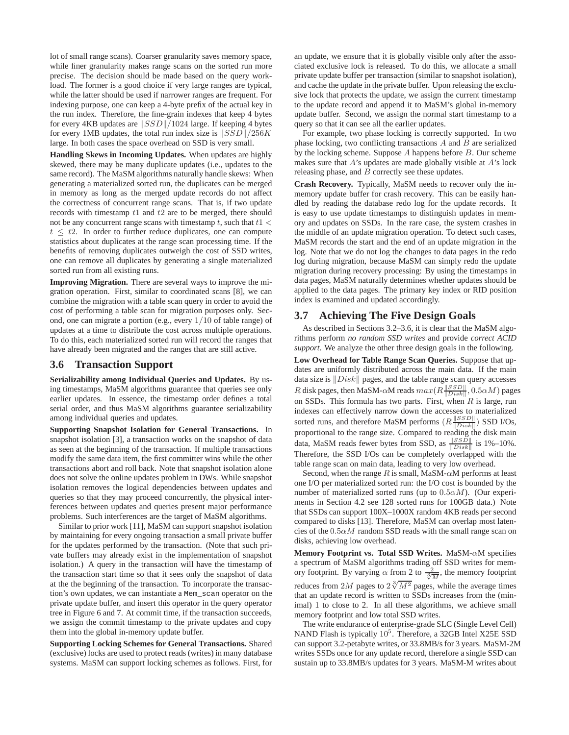lot of small range scans). Coarser granularity saves memory space, while finer granularity makes range scans on the sorted run more precise. The decision should be made based on the query workload. The former is a good choice if very large ranges are typical, while the latter should be used if narrower ranges are frequent. For indexing purpose, one can keep a 4-byte prefix of the actual key in the run index. Therefore, the fine-grain indexes that keep 4 bytes for every 4KB updates are  $||SSD||/1024$  large. If keeping 4 bytes for every 1MB updates, the total run index size is  $||SSD||/256K$ large. In both cases the space overhead on SSD is very small.

**Handling Skews in Incoming Updates.** When updates are highly skewed, there may be many duplicate updates (i.e., updates to the same record). The MaSM algorithms naturally handle skews: When generating a materialized sorted run, the duplicates can be merged in memory as long as the merged update records do not affect the correctness of concurrent range scans. That is, if two update records with timestamp  $t1$  and  $t2$  are to be merged, there should not be any concurrent range scans with timestamp t, such that  $t1 <$  $t \leq t$ 2. In order to further reduce duplicates, one can compute statistics about duplicates at the range scan processing time. If the benefits of removing duplicates outweigh the cost of SSD writes, one can remove all duplicates by generating a single materialized sorted run from all existing runs.

**Improving Migration.** There are several ways to improve the migration operation. First, similar to coordinated scans [8], we can combine the migration with a table scan query in order to avoid the cost of performing a table scan for migration purposes only. Second, one can migrate a portion (e.g., every 1/10 of table range) of updates at a time to distribute the cost across multiple operations. To do this, each materialized sorted run will record the ranges that have already been migrated and the ranges that are still active.

### **3.6 Transaction Support**

**Serializability among Individual Queries and Updates.** By using timestamps, MaSM algorithms guarantee that queries see only earlier updates. In essence, the timestamp order defines a total serial order, and thus MaSM algorithms guarantee serializability among individual queries and updates.

**Supporting Snapshot Isolation for General Transactions.** In snapshot isolation [3], a transaction works on the snapshot of data as seen at the beginning of the transaction. If multiple transactions modify the same data item, the first committer wins while the other transactions abort and roll back. Note that snapshot isolation alone does not solve the online updates problem in DWs. While snapshot isolation removes the logical dependencies between updates and queries so that they may proceed concurrently, the physical interferences between updates and queries present major performance problems. Such interferences are the target of MaSM algorithms.

Similar to prior work [11], MaSM can support snapshot isolation by maintaining for every ongoing transaction a small private buffer for the updates performed by the transaction. (Note that such private buffers may already exist in the implementation of snapshot isolation.) A query in the transaction will have the timestamp of the transaction start time so that it sees only the snapshot of data at the the beginning of the transaction. To incorporate the transaction's own updates, we can instantiate a Mem\_scan operator on the private update buffer, and insert this operator in the query operator tree in Figure 6 and 7. At commit time, if the transaction succeeds, we assign the commit timestamp to the private updates and copy them into the global in-memory update buffer.

**Supporting Locking Schemes for General Transactions.** Shared (exclusive) locks are used to protect reads (writes) in many database systems. MaSM can support locking schemes as follows. First, for an update, we ensure that it is globally visible only after the associated exclusive lock is released. To do this, we allocate a small private update buffer per transaction (similar to snapshot isolation), and cache the update in the private buffer. Upon releasing the exclusive lock that protects the update, we assign the current timestamp to the update record and append it to MaSM's global in-memory update buffer. Second, we assign the normal start timestamp to a query so that it can see all the earlier updates.

For example, two phase locking is correctly supported. In two phase locking, two conflicting transactions  $A$  and  $B$  are serialized by the locking scheme. Suppose  $A$  happens before  $B$ . Our scheme makes sure that A's updates are made globally visible at A's lock releasing phase, and  $B$  correctly see these updates.

**Crash Recovery.** Typically, MaSM needs to recover only the inmemory update buffer for crash recovery. This can be easily handled by reading the database redo log for the update records. It is easy to use update timestamps to distinguish updates in memory and updates on SSDs. In the rare case, the system crashes in the middle of an update migration operation. To detect such cases, MaSM records the start and the end of an update migration in the log. Note that we do not log the changes to data pages in the redo log during migration, because MaSM can simply redo the update migration during recovery processing: By using the timestamps in data pages, MaSM naturally determines whether updates should be applied to the data pages. The primary key index or RID position index is examined and updated accordingly.

### **3.7 Achieving The Five Design Goals**

As described in Sections 3.2–3.6, it is clear that the MaSM algorithms perform *no random SSD writes* and provide *correct ACID support*. We analyze the other three design goals in the following.

**Low Overhead for Table Range Scan Queries.** Suppose that updates are uniformly distributed across the main data. If the main data size is  $\|Disk\|$  pages, and the table range scan query accesses R disk pages, then MaSM- $\alpha$ M reads  $max(R\frac{||SSD||}{||Disk||}, 0.5\alpha M)$  pages on SSDs. This formula has two parts. First, when  $R$  is large, run indexes can effectively narrow down the accesses to materialized sorted runs, and therefore MaSM performs  $(R\frac{\|SSD\|}{\|Disk\|})$  SSD I/Os, proportional to the range size. Compared to reading the disk main data, MaSM reads fewer bytes from SSD, as  $\frac{\|SSD\|}{\|Disk\|}$  is 1%–10%. Therefore, the SSD I/Os can be completely overlapped with the table range scan on main data, leading to very low overhead.

Second, when the range R is small, MaSM- $\alpha$ M performs at least one I/O per materialized sorted run: the I/O cost is bounded by the number of materialized sorted runs (up to  $0.5 \alpha M$ ). (Our experiments in Section 4.2 see 128 sorted runs for 100GB data.) Note that SSDs can support 100X–1000X random 4KB reads per second compared to disks [13]. Therefore, MaSM can overlap most latencies of the  $0.5\alpha M$  random SSD reads with the small range scan on disks, achieving low overhead.

**Memory Footprint vs. Total SSD Writes.** MaSM-αM specifies a spectrum of MaSM algorithms trading off SSD writes for memory footprint. By varying  $\alpha$  from 2 to  $\frac{2}{\sqrt[3]{M}}$ , the memory footprint reduces from 2M pages to  $2\sqrt[3]{M^2}$  pages, while the average times that an update record is written to SSDs increases from the (minimal) 1 to close to 2. In all these algorithms, we achieve small memory footprint and low total SSD writes.

The write endurance of enterprise-grade SLC (Single Level Cell) NAND Flash is typically  $10^5$ . Therefore, a 32GB Intel X25E SSD can support 3.2-petabyte writes, or 33.8MB/s for 3 years. MaSM-2M writes SSDs once for any update record, therefore a single SSD can sustain up to 33.8MB/s updates for 3 years. MaSM-M writes about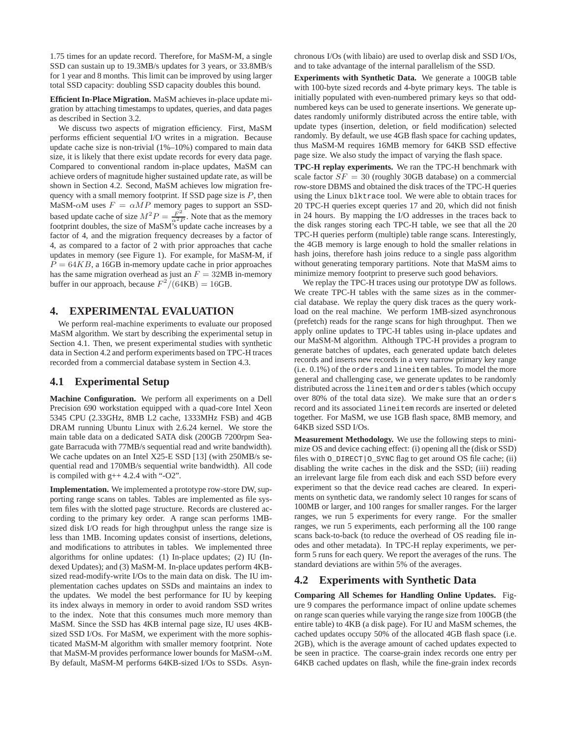1.75 times for an update record. Therefore, for MaSM-M, a single SSD can sustain up to 19.3MB/s updates for 3 years, or 33.8MB/s for 1 year and 8 months. This limit can be improved by using larger total SSD capacity: doubling SSD capacity doubles this bound.

**Efficient In-Place Migration.** MaSM achieves in-place update migration by attaching timestamps to updates, queries, and data pages as described in Section 3.2.

We discuss two aspects of migration efficiency. First, MaSM performs efficient sequential I/O writes in a migration. Because update cache size is non-trivial (1%–10%) compared to main data size, it is likely that there exist update records for every data page. Compared to conventional random in-place updates, MaSM can achieve orders of magnitude higher sustained update rate, as will be shown in Section 4.2. Second, MaSM achieves low migration frequency with a small memory footprint. If SSD page size is  $P$ , then MaSM- $\alpha$ M uses  $F = \alpha MP$  memory pages to support an SSDbased update cache of size  $M^2 P = \frac{F^2}{\alpha^2 P}$ . Note that as the memory footprint doubles, the size of MaSM's update cache increases by a factor of 4, and the migration frequency decreases by a factor of 4, as compared to a factor of 2 with prior approaches that cache updates in memory (see Figure 1). For example, for MaSM-M, if  $P = 64KB$ , a 16GB in-memory update cache in prior approaches has the same migration overhead as just an  $F = 32MB$  in-memory buffer in our approach, because  $F^2/(64KB) = 16GB$ .

### **4. EXPERIMENTAL EVALUATION**

We perform real-machine experiments to evaluate our proposed MaSM algorithm. We start by describing the experimental setup in Section 4.1. Then, we present experimental studies with synthetic data in Section 4.2 and perform experiments based on TPC-H traces recorded from a commercial database system in Section 4.3.

# **4.1 Experimental Setup**

**Machine Configuration.** We perform all experiments on a Dell Precision 690 workstation equipped with a quad-core Intel Xeon 5345 CPU (2.33GHz, 8MB L2 cache, 1333MHz FSB) and 4GB DRAM running Ubuntu Linux with 2.6.24 kernel. We store the main table data on a dedicated SATA disk (200GB 7200rpm Seagate Barracuda with 77MB/s sequential read and write bandwidth). We cache updates on an Intel X25-E SSD [13] (with 250MB/s sequential read and 170MB/s sequential write bandwidth). All code is compiled with  $g++4.2.4$  with "-O2".

**Implementation.** We implemented a prototype row-store DW, supporting range scans on tables. Tables are implemented as file system files with the slotted page structure. Records are clustered according to the primary key order. A range scan performs 1MBsized disk I/O reads for high throughput unless the range size is less than 1MB. Incoming updates consist of insertions, deletions, and modifications to attributes in tables. We implemented three algorithms for online updates: (1) In-place updates; (2) IU (Indexed Updates); and (3) MaSM-M. In-place updates perform 4KBsized read-modify-write I/Os to the main data on disk. The IU implementation caches updates on SSDs and maintains an index to the updates. We model the best performance for IU by keeping its index always in memory in order to avoid random SSD writes to the index. Note that this consumes much more memory than MaSM. Since the SSD has 4KB internal page size, IU uses 4KBsized SSD I/Os. For MaSM, we experiment with the more sophisticated MaSM-M algorithm with smaller memory footprint. Note that MaSM-M provides performance lower bounds for MaSM-αM. By default, MaSM-M performs 64KB-sized I/Os to SSDs. Asynchronous I/Os (with libaio) are used to overlap disk and SSD I/Os, and to take advantage of the internal parallelism of the SSD.

**Experiments with Synthetic Data.** We generate a 100GB table with 100-byte sized records and 4-byte primary keys. The table is initially populated with even-numbered primary keys so that oddnumbered keys can be used to generate insertions. We generate updates randomly uniformly distributed across the entire table, with update types (insertion, deletion, or field modification) selected randomly. By default, we use 4GB flash space for caching updates, thus MaSM-M requires 16MB memory for 64KB SSD effective page size. We also study the impact of varying the flash space.

**TPC-H replay experiments.** We ran the TPC-H benchmark with scale factor  $SF = 30$  (roughly 30GB database) on a commercial row-store DBMS and obtained the disk traces of the TPC-H queries using the Linux blktrace tool. We were able to obtain traces for 20 TPC-H queries except queries 17 and 20, which did not finish in 24 hours. By mapping the I/O addresses in the traces back to the disk ranges storing each TPC-H table, we see that all the 20 TPC-H queries perform (multiple) table range scans. Interestingly, the 4GB memory is large enough to hold the smaller relations in hash joins, therefore hash joins reduce to a single pass algorithm without generating temporary partitions. Note that MaSM aims to minimize memory footprint to preserve such good behaviors.

We replay the TPC-H traces using our prototype DW as follows. We create TPC-H tables with the same sizes as in the commercial database. We replay the query disk traces as the query workload on the real machine. We perform 1MB-sized asynchronous (prefetch) reads for the range scans for high throughput. Then we apply online updates to TPC-H tables using in-place updates and our MaSM-M algorithm. Although TPC-H provides a program to generate batches of updates, each generated update batch deletes records and inserts new records in a very narrow primary key range (i.e. 0.1%) of the orders and lineitem tables. To model the more general and challenging case, we generate updates to be randomly distributed across the lineitem and orders tables (which occupy over 80% of the total data size). We make sure that an orders record and its associated lineitem records are inserted or deleted together. For MaSM, we use 1GB flash space, 8MB memory, and 64KB sized SSD I/Os.

**Measurement Methodology.** We use the following steps to minimize OS and device caching effect: (i) opening all the (disk or SSD) files with O\_DIRECT|O\_SYNC flag to get around OS file cache; (ii) disabling the write caches in the disk and the SSD; (iii) reading an irrelevant large file from each disk and each SSD before every experiment so that the device read caches are cleared. In experiments on synthetic data, we randomly select 10 ranges for scans of 100MB or larger, and 100 ranges for smaller ranges. For the larger ranges, we run 5 experiments for every range. For the smaller ranges, we run 5 experiments, each performing all the 100 range scans back-to-back (to reduce the overhead of OS reading file inodes and other metadata). In TPC-H replay experiments, we perform 5 runs for each query. We report the averages of the runs. The standard deviations are within 5% of the averages.

### **4.2 Experiments with Synthetic Data**

**Comparing All Schemes for Handling Online Updates.** Figure 9 compares the performance impact of online update schemes on range scan queries while varying the range size from 100GB (the entire table) to 4KB (a disk page). For IU and MaSM schemes, the cached updates occupy 50% of the allocated 4GB flash space (i.e. 2GB), which is the average amount of cached updates expected to be seen in practice. The coarse-grain index records one entry per 64KB cached updates on flash, while the fine-grain index records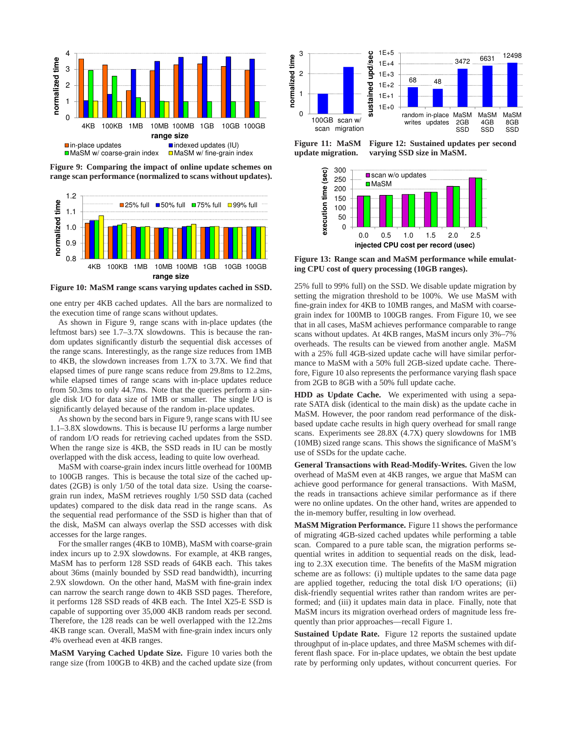

**Figure 9: Comparing the impact of online update schemes on range scan performance (normalized to scans without updates).**



**Figure 10: MaSM range scans varying updates cached in SSD.**

one entry per 4KB cached updates. All the bars are normalized to the execution time of range scans without updates.

As shown in Figure 9, range scans with in-place updates (the leftmost bars) see 1.7–3.7X slowdowns. This is because the random updates significantly disturb the sequential disk accesses of the range scans. Interestingly, as the range size reduces from 1MB to 4KB, the slowdown increases from 1.7X to 3.7X. We find that elapsed times of pure range scans reduce from 29.8ms to 12.2ms, while elapsed times of range scans with in-place updates reduce from 50.3ms to only 44.7ms. Note that the queries perform a single disk I/O for data size of 1MB or smaller. The single I/O is significantly delayed because of the random in-place updates.

As shown by the second bars in Figure 9, range scans with IU see 1.1–3.8X slowdowns. This is because IU performs a large number of random I/O reads for retrieving cached updates from the SSD. When the range size is 4KB, the SSD reads in IU can be mostly overlapped with the disk access, leading to quite low overhead.

MaSM with coarse-grain index incurs little overhead for 100MB to 100GB ranges. This is because the total size of the cached updates (2GB) is only 1/50 of the total data size. Using the coarsegrain run index, MaSM retrieves roughly 1/50 SSD data (cached updates) compared to the disk data read in the range scans. As the sequential read performance of the SSD is higher than that of the disk, MaSM can always overlap the SSD accesses with disk accesses for the large ranges.

For the smaller ranges (4KB to 10MB), MaSM with coarse-grain index incurs up to 2.9X slowdowns. For example, at 4KB ranges, MaSM has to perform 128 SSD reads of 64KB each. This takes about 36ms (mainly bounded by SSD read bandwidth), incurring 2.9X slowdown. On the other hand, MaSM with fine-grain index can narrow the search range down to 4KB SSD pages. Therefore, it performs 128 SSD reads of 4KB each. The Intel X25-E SSD is capable of supporting over 35,000 4KB random reads per second. Therefore, the 128 reads can be well overlapped with the 12.2ms 4KB range scan. Overall, MaSM with fine-grain index incurs only 4% overhead even at 4KB ranges.

**MaSM Varying Cached Update Size.** Figure 10 varies both the range size (from 100GB to 4KB) and the cached update size (from



**Figure 11: MaSM update migration.**

**Figure 12: Sustained updates per second varying SSD size in MaSM.**



**Figure 13: Range scan and MaSM performance while emulating CPU cost of query processing (10GB ranges).**

25% full to 99% full) on the SSD. We disable update migration by setting the migration threshold to be 100%. We use MaSM with fine-grain index for 4KB to 10MB ranges, and MaSM with coarsegrain index for 100MB to 100GB ranges. From Figure 10, we see that in all cases, MaSM achieves performance comparable to range scans without updates. At 4KB ranges, MaSM incurs only 3%–7% overheads. The results can be viewed from another angle. MaSM with a 25% full 4GB-sized update cache will have similar performance to MaSM with a 50% full 2GB-sized update cache. Therefore, Figure 10 also represents the performance varying flash space from 2GB to 8GB with a 50% full update cache.

**HDD as Update Cache.** We experimented with using a separate SATA disk (identical to the main disk) as the update cache in MaSM. However, the poor random read performance of the diskbased update cache results in high query overhead for small range scans. Experiments see 28.8X (4.7X) query slowdowns for 1MB (10MB) sized range scans. This shows the significance of MaSM's use of SSDs for the update cache.

**General Transactions with Read-Modify-Writes.** Given the low overhead of MaSM even at 4KB ranges, we argue that MaSM can achieve good performance for general transactions. With MaSM, the reads in transactions achieve similar performance as if there were no online updates. On the other hand, writes are appended to the in-memory buffer, resulting in low overhead.

**MaSM Migration Performance.** Figure 11 shows the performance of migrating 4GB-sized cached updates while performing a table scan. Compared to a pure table scan, the migration performs sequential writes in addition to sequential reads on the disk, leading to 2.3X execution time. The benefits of the MaSM migration scheme are as follows: (i) multiple updates to the same data page are applied together, reducing the total disk I/O operations; (ii) disk-friendly sequential writes rather than random writes are performed; and (iii) it updates main data in place. Finally, note that MaSM incurs its migration overhead orders of magnitude less frequently than prior approaches—recall Figure 1.

**Sustained Update Rate.** Figure 12 reports the sustained update throughput of in-place updates, and three MaSM schemes with different flash space. For in-place updates, we obtain the best update rate by performing only updates, without concurrent queries. For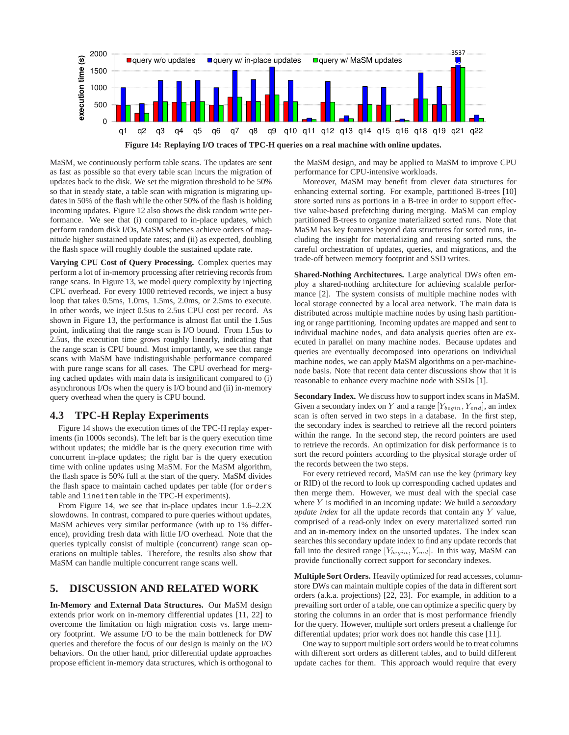

MaSM, we continuously perform table scans. The updates are sent as fast as possible so that every table scan incurs the migration of updates back to the disk. We set the migration threshold to be 50% so that in steady state, a table scan with migration is migrating updates in 50% of the flash while the other 50% of the flash is holding incoming updates. Figure 12 also shows the disk random write performance. We see that (i) compared to in-place updates, which perform random disk I/Os, MaSM schemes achieve orders of magnitude higher sustained update rates; and (ii) as expected, doubling the flash space will roughly double the sustained update rate.

**Varying CPU Cost of Query Processing.** Complex queries may perform a lot of in-memory processing after retrieving records from range scans. In Figure 13, we model query complexity by injecting CPU overhead. For every 1000 retrieved records, we inject a busy loop that takes 0.5ms, 1.0ms, 1.5ms, 2.0ms, or 2.5ms to execute. In other words, we inject 0.5us to 2.5us CPU cost per record. As shown in Figure 13, the performance is almost flat until the 1.5us point, indicating that the range scan is I/O bound. From 1.5us to 2.5us, the execution time grows roughly linearly, indicating that the range scan is CPU bound. Most importantly, we see that range scans with MaSM have indistinguishable performance compared with pure range scans for all cases. The CPU overhead for merging cached updates with main data is insignificant compared to (i) asynchronous I/Os when the query is I/O bound and (ii) in-memory query overhead when the query is CPU bound.

### **4.3 TPC-H Replay Experiments**

Figure 14 shows the execution times of the TPC-H replay experiments (in 1000s seconds). The left bar is the query execution time without updates; the middle bar is the query execution time with concurrent in-place updates; the right bar is the query execution time with online updates using MaSM. For the MaSM algorithm, the flash space is 50% full at the start of the query. MaSM divides the flash space to maintain cached updates per table (for orders table and lineitem table in the TPC-H experiments).

From Figure 14, we see that in-place updates incur 1.6–2.2X slowdowns. In contrast, compared to pure queries without updates, MaSM achieves very similar performance (with up to 1% difference), providing fresh data with little I/O overhead. Note that the queries typically consist of multiple (concurrent) range scan operations on multiple tables. Therefore, the results also show that MaSM can handle multiple concurrent range scans well.

### **5. DISCUSSION AND RELATED WORK**

**In-Memory and External Data Structures.** Our MaSM design extends prior work on in-memory differential updates [11, 22] to overcome the limitation on high migration costs vs. large memory footprint. We assume I/O to be the main bottleneck for DW queries and therefore the focus of our design is mainly on the I/O behaviors. On the other hand, prior differential update approaches propose efficient in-memory data structures, which is orthogonal to the MaSM design, and may be applied to MaSM to improve CPU performance for CPU-intensive workloads.

Moreover, MaSM may benefit from clever data structures for enhancing external sorting. For example, partitioned B-trees [10] store sorted runs as portions in a B-tree in order to support effective value-based prefetching during merging. MaSM can employ partitioned B-trees to organize materialized sorted runs. Note that MaSM has key features beyond data structures for sorted runs, including the insight for materializing and reusing sorted runs, the careful orchestration of updates, queries, and migrations, and the trade-off between memory footprint and SSD writes.

**Shared-Nothing Architectures.** Large analytical DWs often employ a shared-nothing architecture for achieving scalable performance [2]. The system consists of multiple machine nodes with local storage connected by a local area network. The main data is distributed across multiple machine nodes by using hash partitioning or range partitioning. Incoming updates are mapped and sent to individual machine nodes, and data analysis queries often are executed in parallel on many machine nodes. Because updates and queries are eventually decomposed into operations on individual machine nodes, we can apply MaSM algorithms on a per-machinenode basis. Note that recent data center discussions show that it is reasonable to enhance every machine node with SSDs [1].

**Secondary Index.** We discuss how to support index scans in MaSM. Given a secondary index on Y and a range  $[Y_{begin}, Y_{end}]$ , an index scan is often served in two steps in a database. In the first step, the secondary index is searched to retrieve all the record pointers within the range. In the second step, the record pointers are used to retrieve the records. An optimization for disk performance is to sort the record pointers according to the physical storage order of the records between the two steps.

For every retrieved record, MaSM can use the key (primary key or RID) of the record to look up corresponding cached updates and then merge them. However, we must deal with the special case where Y is modified in an incoming update: We build a *secondary update index* for all the update records that contain any Y value, comprised of a read-only index on every materialized sorted run and an in-memory index on the unsorted updates. The index scan searches this secondary update index to find any update records that fall into the desired range  $[Y_{begin}, Y_{end}]$ . In this way, MaSM can provide functionally correct support for secondary indexes.

**Multiple Sort Orders.** Heavily optimized for read accesses, columnstore DWs can maintain multiple copies of the data in different sort orders (a.k.a. projections) [22, 23]. For example, in addition to a prevailing sort order of a table, one can optimize a specific query by storing the columns in an order that is most performance friendly for the query. However, multiple sort orders present a challenge for differential updates; prior work does not handle this case [11].

One way to support multiple sort orders would be to treat columns with different sort orders as different tables, and to build different update caches for them. This approach would require that every